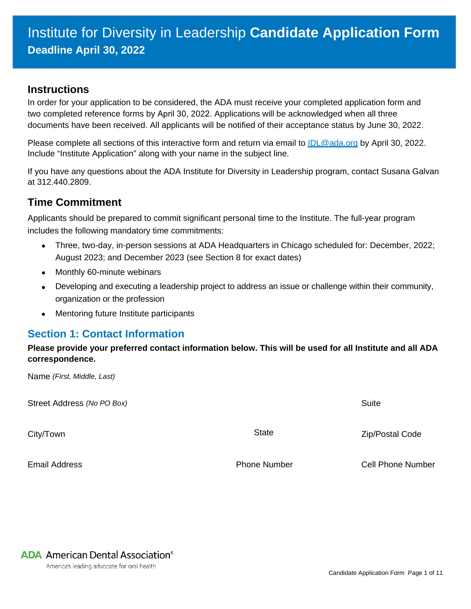#### **Instructions**

In order for your application to be considered, the ADA must receive your completed application form and two completed reference forms by April 30, 2022. Applications will be acknowledged when all three documents have been received. All applicants will be notified of their acceptance status by June 30, 2022.

Please complete all sections of this interactive form and return via email to **IDL@ada.org** by April 30, 2022. Include "Institute Application" along with your name in the subject line.

If you have any questions about the ADA Institute for Diversity in Leadership program, contact Susana Galvan at 312.440.2809.

### **Time Commitment**

Applicants should be prepared to commit significant personal time to the Institute. The full-year program includes the following mandatory time commitments:

- Three, two-day, in-person sessions at ADA Headquarters in Chicago scheduled for: December, 2022; August 2023; and December 2023 (see Section 8 for exact dates)
- Monthly 60-minute webinars
- Developing and executing a leadership project to address an issue or challenge within their community, organization or the profession
- Mentoring future Institute participants

#### **Section 1: Contact Information**

**Please provide your preferred contact information below. This will be used for all Institute and all ADA correspondence.** 

Name *(First, Middle, Last)*

| Street Address (No PO Box) | Suite               |                          |
|----------------------------|---------------------|--------------------------|
| City/Town                  | <b>State</b>        | <b>Zip/Postal Code</b>   |
| <b>Email Address</b>       | <b>Phone Number</b> | <b>Cell Phone Number</b> |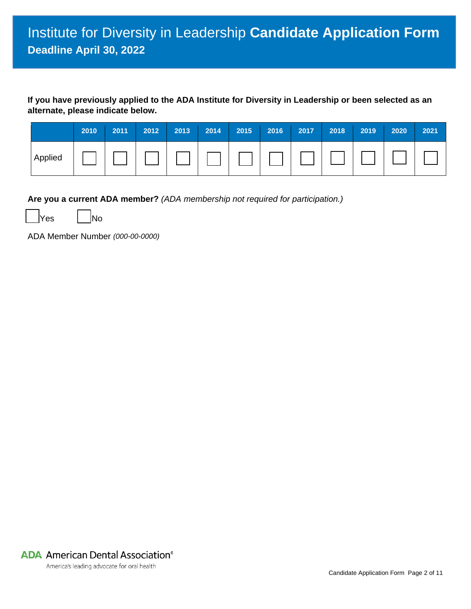**If you have previously applied to the ADA Institute for Diversity in Leadership or been selected as an alternate, please indicate below.**

|         | 2010 | 2011 | 2012 | 2013 | 2014 | 2015 | 2016 | 2017 | 2018 | 2019 | 2020 | 2021 |
|---------|------|------|------|------|------|------|------|------|------|------|------|------|
| Applied |      |      |      |      |      |      |      |      |      |      |      |      |

**Are you a current ADA member?** *(ADA membership not required for participation.)* 

Yes | No

ADA Member Number *(000-00-0000)* 

**ADA** American Dental Association<sup>®</sup>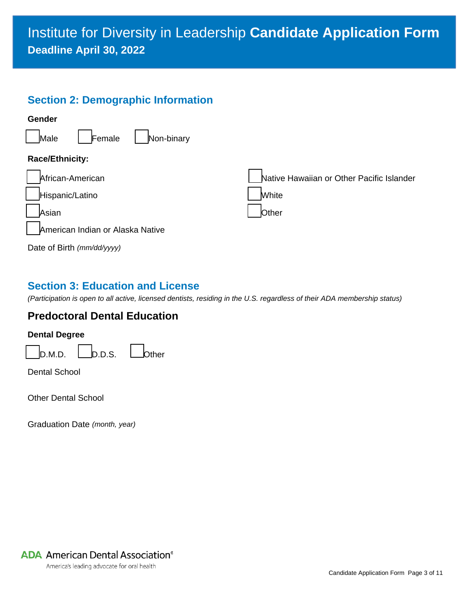# Institute for Diversity in Leadership **Candidate Application Form Deadline April 30, 2022**

# **Section 2: Demographic Information**



# **Section 3: Education and License**

*(Participation is open to all active, licensed dentists, residing in the U.S. regardless of their ADA membership status)*

# **Predoctoral Dental Education**



Dental School

Other Dental School

Graduation Date *(month, year)*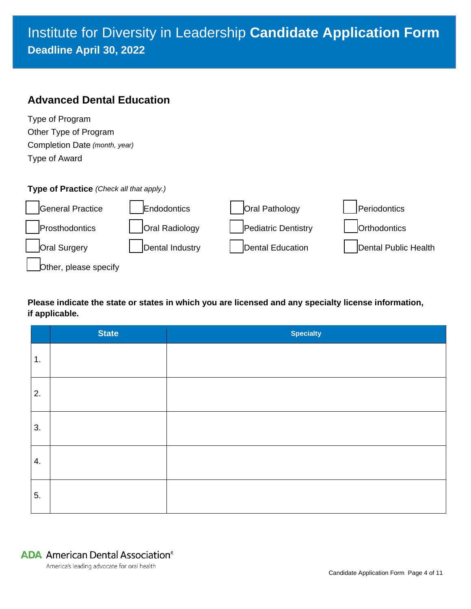# Institute for Diversity in Leadership **Candidate Application Form Deadline April 30, 2022**

## **Advanced Dental Education**

| Type of Program               |
|-------------------------------|
| Other Type of Program         |
| Completion Date (month, year) |
| Type of Award                 |

#### **Type of Practice** *(Check all that apply.)*



#### **Please indicate the state or states in which you are licensed and any specialty license information, if applicable.**

|    | <b>State</b> | <b>Specialty</b> |
|----|--------------|------------------|
| 1. |              |                  |
| 2. |              |                  |
| 3. |              |                  |
| 4. |              |                  |
| 5. |              |                  |

# **ADA** American Dental Association<sup>®</sup>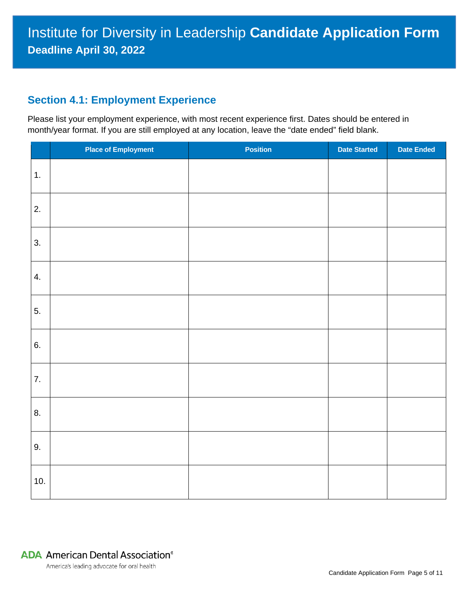### **Section 4.1: Employment Experience**

Please list your employment experience, with most recent experience first. Dates should be entered in month/year format. If you are still employed at any location, leave the "date ended" field blank.

|     | <b>Place of Employment</b> | <b>Position</b> | <b>Date Started</b> | <b>Date Ended</b> |
|-----|----------------------------|-----------------|---------------------|-------------------|
| 1.  |                            |                 |                     |                   |
| 2.  |                            |                 |                     |                   |
| 3.  |                            |                 |                     |                   |
| 4.  |                            |                 |                     |                   |
| 5.  |                            |                 |                     |                   |
| 6.  |                            |                 |                     |                   |
| 7.  |                            |                 |                     |                   |
| 8.  |                            |                 |                     |                   |
| 9.  |                            |                 |                     |                   |
| 10. |                            |                 |                     |                   |

## **ADA** American Dental Association<sup>®</sup>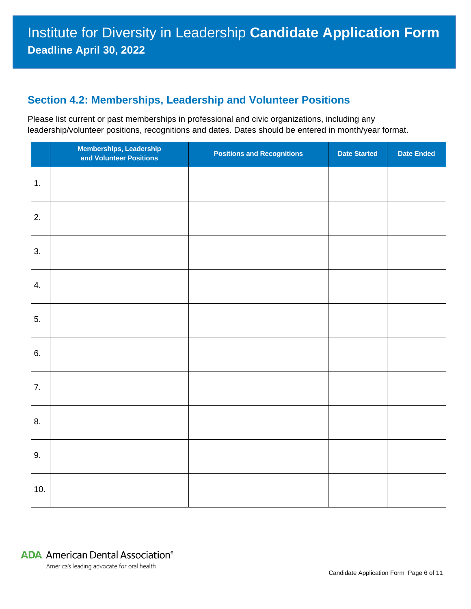## **Section 4.2: Memberships, Leadership and Volunteer Positions**

Please list current or past memberships in professional and civic organizations, including any leadership/volunteer positions, recognitions and dates. Dates should be entered in month/year format.

|     | Memberships, Leadership<br>and Volunteer Positions | <b>Positions and Recognitions</b> | <b>Date Started</b> | <b>Date Ended</b> |
|-----|----------------------------------------------------|-----------------------------------|---------------------|-------------------|
| 1.  |                                                    |                                   |                     |                   |
| 2.  |                                                    |                                   |                     |                   |
| 3.  |                                                    |                                   |                     |                   |
| 4.  |                                                    |                                   |                     |                   |
| 5.  |                                                    |                                   |                     |                   |
| 6.  |                                                    |                                   |                     |                   |
| 7.  |                                                    |                                   |                     |                   |
| 8.  |                                                    |                                   |                     |                   |
| 9.  |                                                    |                                   |                     |                   |
| 10. |                                                    |                                   |                     |                   |

# **ADA** American Dental Association<sup>®</sup>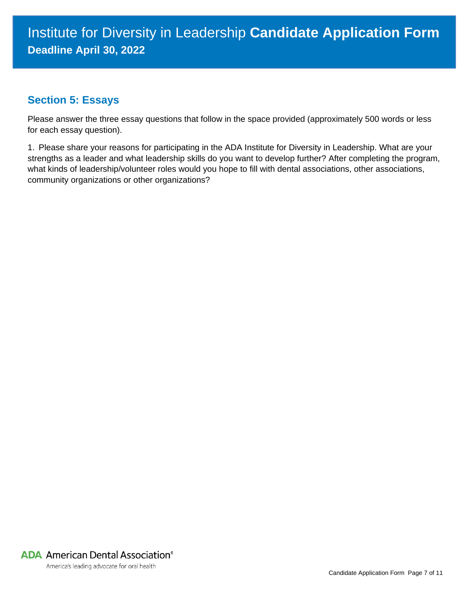## **Section 5: Essays**

Please answer the three essay questions that follow in the space provided (approximately 500 words or less for each essay question).

1. Please share your reasons for participating in the ADA Institute for Diversity in Leadership. What are your strengths as a leader and what leadership skills do you want to develop further? After completing the program, what kinds of leadership/volunteer roles would you hope to fill with dental associations, other associations, community organizations or other organizations?

**ADA** American Dental Association<sup>®</sup>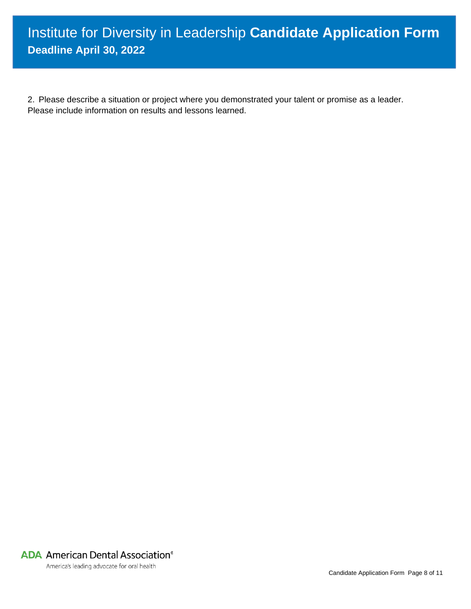2. Please describe a situation or project where you demonstrated your talent or promise as a leader. Please include information on results and lessons learned.

**ADA** American Dental Association®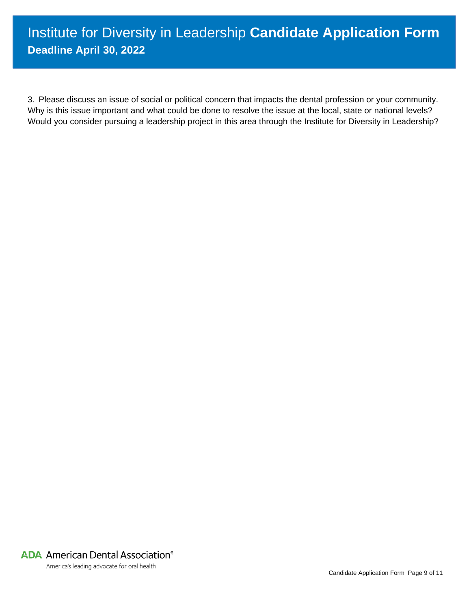# Institute for Diversity in Leadership **Candidate Application Form Deadline April 30, 2022**

3. Please discuss an issue of social or political concern that impacts the dental profession or your community. Why is this issue important and what could be done to resolve the issue at the local, state or national levels? Would you consider pursuing a leadership project in this area through the Institute for Diversity in Leadership?

**ADA** American Dental Association<sup>®</sup>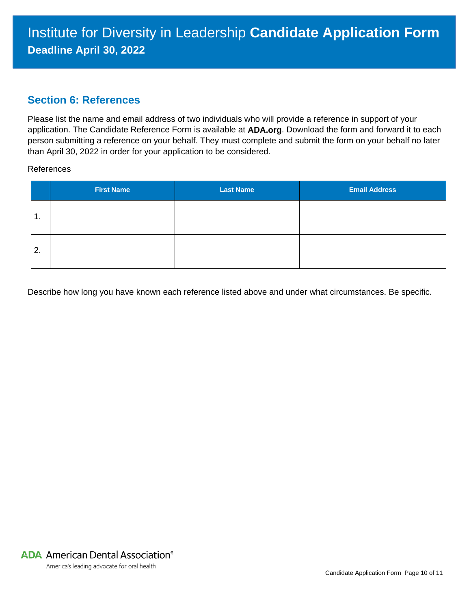#### **Section 6: References**

Please list the name and email address of two individuals who will provide a reference in support of your application. The Candidate Reference Form is available at **ADA.org**. Download the form and forward it to each person submitting a reference on your behalf. They must complete and submit the form on your behalf no later than April 30, 2022 in order for your application to be considered.

References

|    | <b>First Name</b> | <b>Last Name</b> | <b>Email Address</b> |
|----|-------------------|------------------|----------------------|
| 1. |                   |                  |                      |
| 2. |                   |                  |                      |

Describe how long you have known each reference listed above and under what circumstances. Be specific.

**ADA** American Dental Association<sup>®</sup>